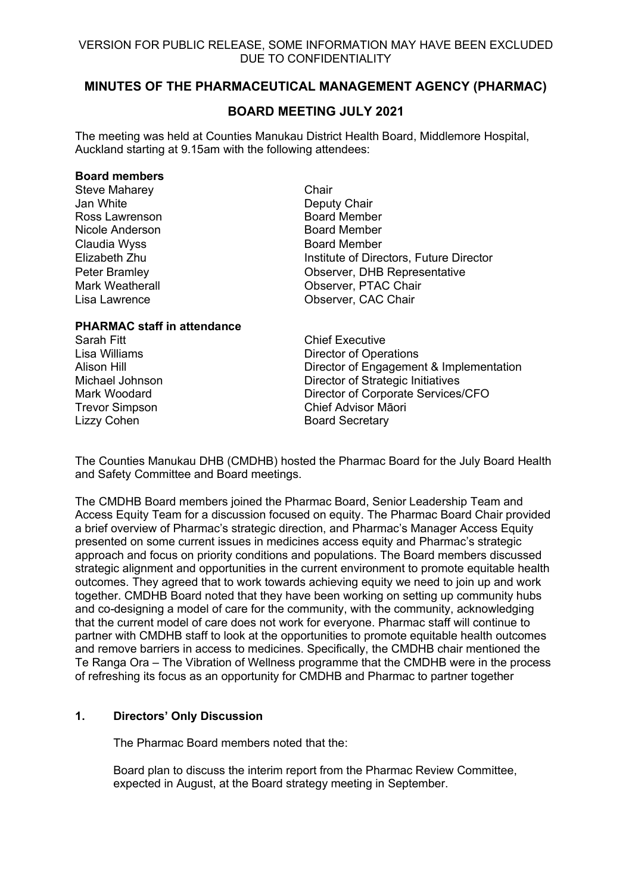# **MINUTES OF THE PHARMACEUTICAL MANAGEMENT AGENCY (PHARMAC)**

# **BOARD MEETING JULY 2021**

The meeting was held at Counties Manukau District Health Board, Middlemore Hospital, Auckland starting at 9.15am with the following attendees:

#### **Board members**

| <b>Steve Maharey</b>   | Chair                                   |  |  |
|------------------------|-----------------------------------------|--|--|
| Jan White              | Deputy Chair                            |  |  |
| Ross Lawrenson         | <b>Board Member</b>                     |  |  |
| Nicole Anderson        | <b>Board Member</b>                     |  |  |
| Claudia Wyss           | <b>Board Member</b>                     |  |  |
| Elizabeth Zhu          | Institute of Directors, Future Director |  |  |
| Peter Bramley          | Observer, DHB Representative            |  |  |
| <b>Mark Weatherall</b> | Observer, PTAC Chair                    |  |  |
| Lisa Lawrence          | Observer, CAC Chair                     |  |  |
|                        |                                         |  |  |

#### **PHARMAC staff in attendance**

Sarah Fitt **Chief Executive** Lizzy Cohen **Board Secretary** 

Lisa Williams Director of Operations Alison Hill<br>
Director of Engagement & Implementation<br>
Director of Strategic Initiatives Director of Strategic Initiatives Mark Woodard Director of Corporate Services/CFO Trevor Simpson Chief Advisor Māori

The Counties Manukau DHB (CMDHB) hosted the Pharmac Board for the July Board Health and Safety Committee and Board meetings.

The CMDHB Board members joined the Pharmac Board, Senior Leadership Team and Access Equity Team for a discussion focused on equity. The Pharmac Board Chair provided a brief overview of Pharmac's strategic direction, and Pharmac's Manager Access Equity presented on some current issues in medicines access equity and Pharmac's strategic approach and focus on priority conditions and populations. The Board members discussed strategic alignment and opportunities in the current environment to promote equitable health outcomes. They agreed that to work towards achieving equity we need to join up and work together. CMDHB Board noted that they have been working on setting up community hubs and co-designing a model of care for the community, with the community, acknowledging that the current model of care does not work for everyone. Pharmac staff will continue to partner with CMDHB staff to look at the opportunities to promote equitable health outcomes and remove barriers in access to medicines. Specifically, the CMDHB chair mentioned the Te Ranga Ora – The Vibration of Wellness programme that the CMDHB were in the process of refreshing its focus as an opportunity for CMDHB and Pharmac to partner together

# **1. Directors' Only Discussion**

The Pharmac Board members noted that the:

Board plan to discuss the interim report from the Pharmac Review Committee, expected in August, at the Board strategy meeting in September.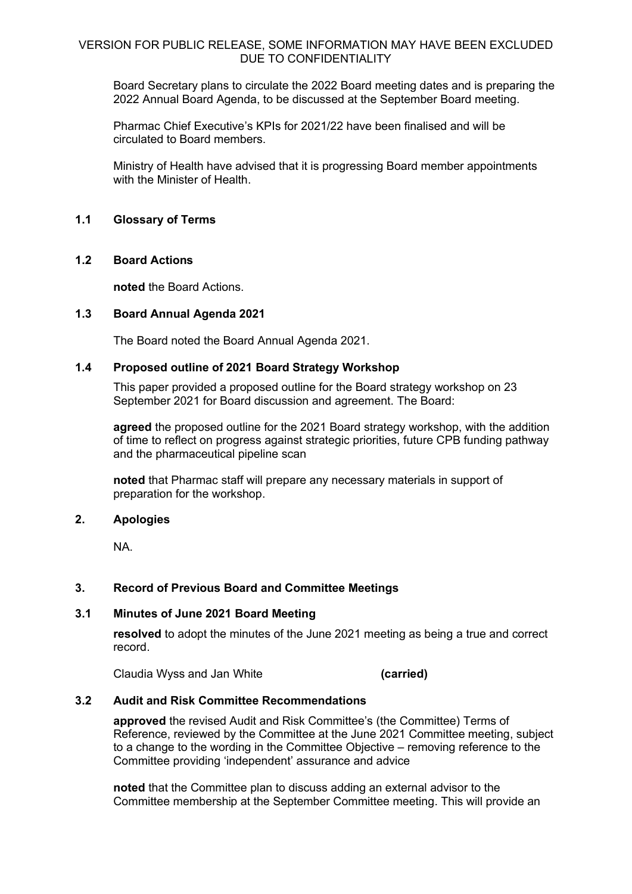Board Secretary plans to circulate the 2022 Board meeting dates and is preparing the 2022 Annual Board Agenda, to be discussed at the September Board meeting.

Pharmac Chief Executive's KPIs for 2021/22 have been finalised and will be circulated to Board members.

Ministry of Health have advised that it is progressing Board member appointments with the Minister of Health

### **1.1 Glossary of Terms**

#### **1.2 Board Actions**

**noted** the Board Actions.

#### **1.3 Board Annual Agenda 2021**

The Board noted the Board Annual Agenda 2021.

#### **1.4 Proposed outline of 2021 Board Strategy Workshop**

This paper provided a proposed outline for the Board strategy workshop on 23 September 2021 for Board discussion and agreement. The Board:

**agreed** the proposed outline for the 2021 Board strategy workshop, with the addition of time to reflect on progress against strategic priorities, future CPB funding pathway and the pharmaceutical pipeline scan

**noted** that Pharmac staff will prepare any necessary materials in support of preparation for the workshop.

#### **2. Apologies**

NA.

# **3. Record of Previous Board and Committee Meetings**

# **3.1 Minutes of June 2021 Board Meeting**

**resolved** to adopt the minutes of the June 2021 meeting as being a true and correct record.

Claudia Wyss and Jan White **(carried)**

#### **3.2 Audit and Risk Committee Recommendations**

**approved** the revised Audit and Risk Committee's (the Committee) Terms of Reference, reviewed by the Committee at the June 2021 Committee meeting, subject to a change to the wording in the Committee Objective – removing reference to the Committee providing 'independent' assurance and advice

**noted** that the Committee plan to discuss adding an external advisor to the Committee membership at the September Committee meeting. This will provide an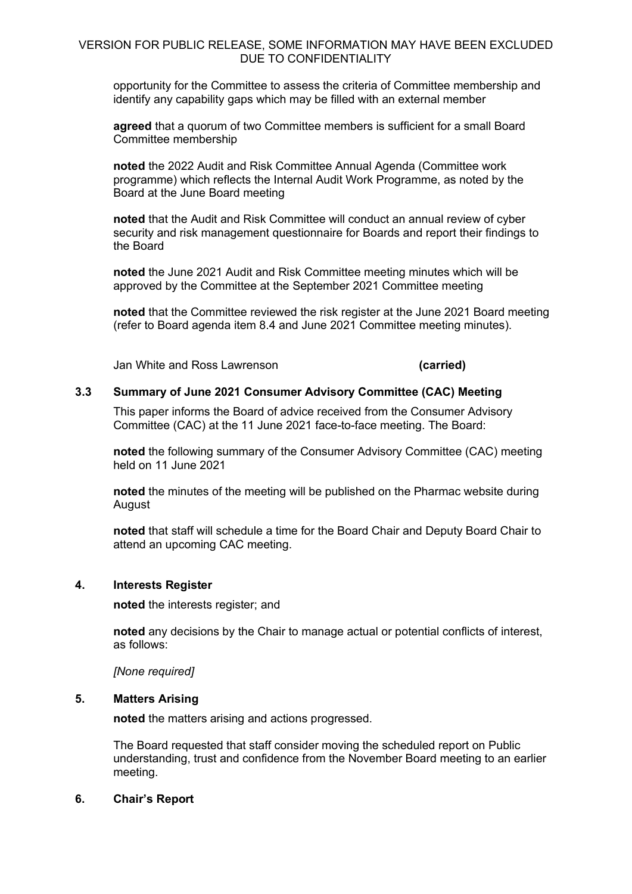opportunity for the Committee to assess the criteria of Committee membership and identify any capability gaps which may be filled with an external member

**agreed** that a quorum of two Committee members is sufficient for a small Board Committee membership

**noted** the 2022 Audit and Risk Committee Annual Agenda (Committee work programme) which reflects the Internal Audit Work Programme, as noted by the Board at the June Board meeting

**noted** that the Audit and Risk Committee will conduct an annual review of cyber security and risk management questionnaire for Boards and report their findings to the Board

**noted** the June 2021 Audit and Risk Committee meeting minutes which will be approved by the Committee at the September 2021 Committee meeting

**noted** that the Committee reviewed the risk register at the June 2021 Board meeting (refer to Board agenda item 8.4 and June 2021 Committee meeting minutes).

Jan White and Ross Lawrenson **(carried)**

## **3.3 Summary of June 2021 Consumer Advisory Committee (CAC) Meeting**

This paper informs the Board of advice received from the Consumer Advisory Committee (CAC) at the 11 June 2021 face-to-face meeting. The Board:

**noted** the following summary of the Consumer Advisory Committee (CAC) meeting held on 11 June 2021

**noted** the minutes of the meeting will be published on the Pharmac website during August

**noted** that staff will schedule a time for the Board Chair and Deputy Board Chair to attend an upcoming CAC meeting.

#### **4. Interests Register**

**noted** the interests register; and

**noted** any decisions by the Chair to manage actual or potential conflicts of interest, as follows:

*[None required]*

#### **5. Matters Arising**

**noted** the matters arising and actions progressed.

The Board requested that staff consider moving the scheduled report on Public understanding, trust and confidence from the November Board meeting to an earlier meeting.

#### **6. Chair's Report**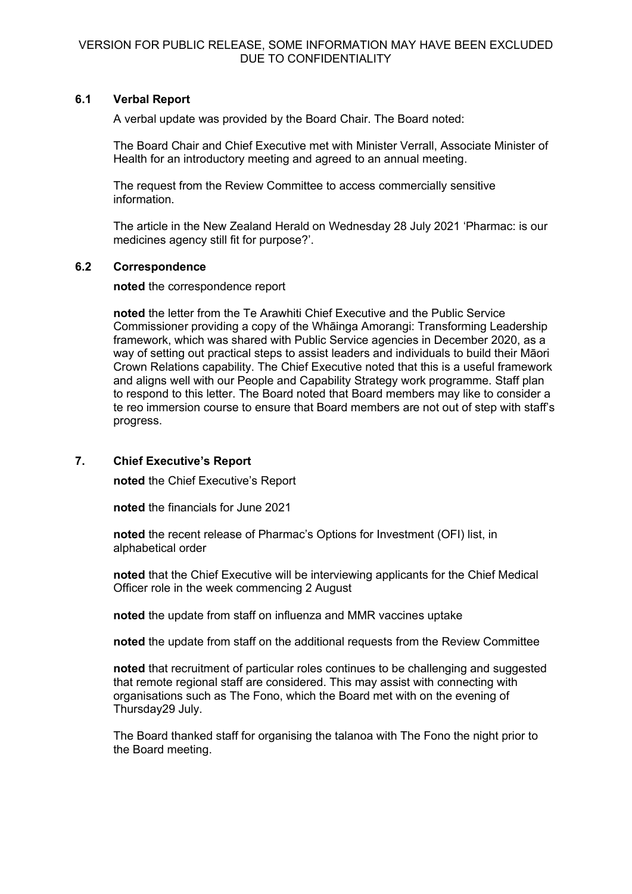# **6.1 Verbal Report**

A verbal update was provided by the Board Chair. The Board noted:

The Board Chair and Chief Executive met with Minister Verrall, Associate Minister of Health for an introductory meeting and agreed to an annual meeting.

The request from the Review Committee to access commercially sensitive information.

The article in the New Zealand Herald on Wednesday 28 July 2021 'Pharmac: is our medicines agency still fit for purpose?'.

# **6.2 Correspondence**

**noted** the correspondence report

**noted** the letter from the Te Arawhiti Chief Executive and the Public Service Commissioner providing a copy of the Whāinga Amorangi: Transforming Leadership framework, which was shared with Public Service agencies in December 2020, as a way of setting out practical steps to assist leaders and individuals to build their Māori Crown Relations capability. The Chief Executive noted that this is a useful framework and aligns well with our People and Capability Strategy work programme. Staff plan to respond to this letter. The Board noted that Board members may like to consider a te reo immersion course to ensure that Board members are not out of step with staff's progress.

# **7. Chief Executive's Report**

**noted** the Chief Executive's Report

**noted** the financials for June 2021

**noted** the recent release of Pharmac's Options for Investment (OFI) list, in alphabetical order

**noted** that the Chief Executive will be interviewing applicants for the Chief Medical Officer role in the week commencing 2 August

**noted** the update from staff on influenza and MMR vaccines uptake

**noted** the update from staff on the additional requests from the Review Committee

**noted** that recruitment of particular roles continues to be challenging and suggested that remote regional staff are considered. This may assist with connecting with organisations such as The Fono, which the Board met with on the evening of Thursday29 July.

The Board thanked staff for organising the talanoa with The Fono the night prior to the Board meeting.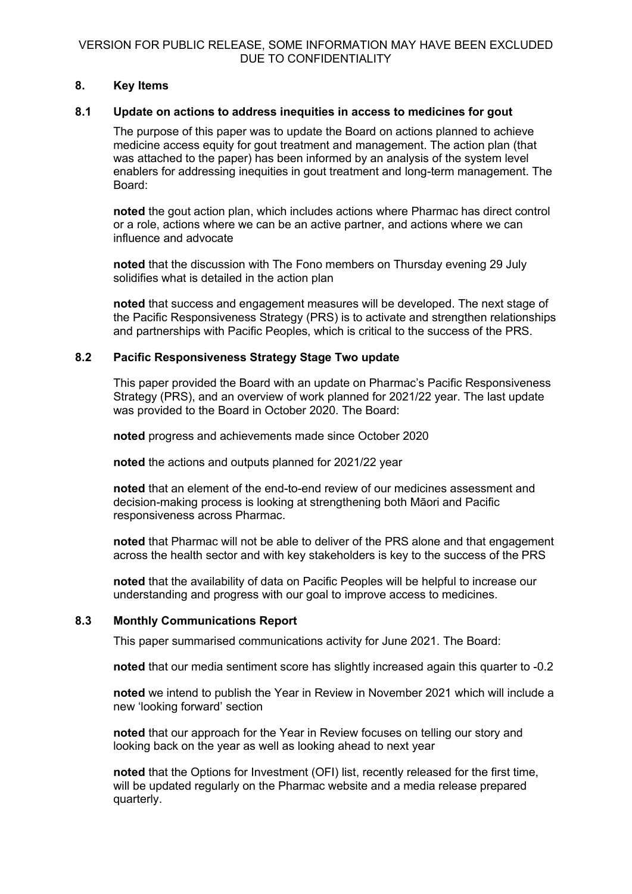# **8. Key Items**

# **8.1 Update on actions to address inequities in access to medicines for gout**

The purpose of this paper was to update the Board on actions planned to achieve medicine access equity for gout treatment and management. The action plan (that was attached to the paper) has been informed by an analysis of the system level enablers for addressing inequities in gout treatment and long-term management. The Board:

**noted** the gout action plan, which includes actions where Pharmac has direct control or a role, actions where we can be an active partner, and actions where we can influence and advocate

**noted** that the discussion with The Fono members on Thursday evening 29 July solidifies what is detailed in the action plan

**noted** that success and engagement measures will be developed. The next stage of the Pacific Responsiveness Strategy (PRS) is to activate and strengthen relationships and partnerships with Pacific Peoples, which is critical to the success of the PRS.

# **8.2 Pacific Responsiveness Strategy Stage Two update**

This paper provided the Board with an update on Pharmac's Pacific Responsiveness Strategy (PRS), and an overview of work planned for 2021/22 year. The last update was provided to the Board in October 2020. The Board:

**noted** progress and achievements made since October 2020

**noted** the actions and outputs planned for 2021/22 year

**noted** that an element of the end-to-end review of our medicines assessment and decision-making process is looking at strengthening both Māori and Pacific responsiveness across Pharmac.

**noted** that Pharmac will not be able to deliver of the PRS alone and that engagement across the health sector and with key stakeholders is key to the success of the PRS

**noted** that the availability of data on Pacific Peoples will be helpful to increase our understanding and progress with our goal to improve access to medicines.

# **8.3 Monthly Communications Report**

This paper summarised communications activity for June 2021. The Board:

**noted** that our media sentiment score has slightly increased again this quarter to -0.2

**noted** we intend to publish the Year in Review in November 2021 which will include a new 'looking forward' section

**noted** that our approach for the Year in Review focuses on telling our story and looking back on the year as well as looking ahead to next year

**noted** that the Options for Investment (OFI) list, recently released for the first time, will be updated regularly on the Pharmac website and a media release prepared quarterly.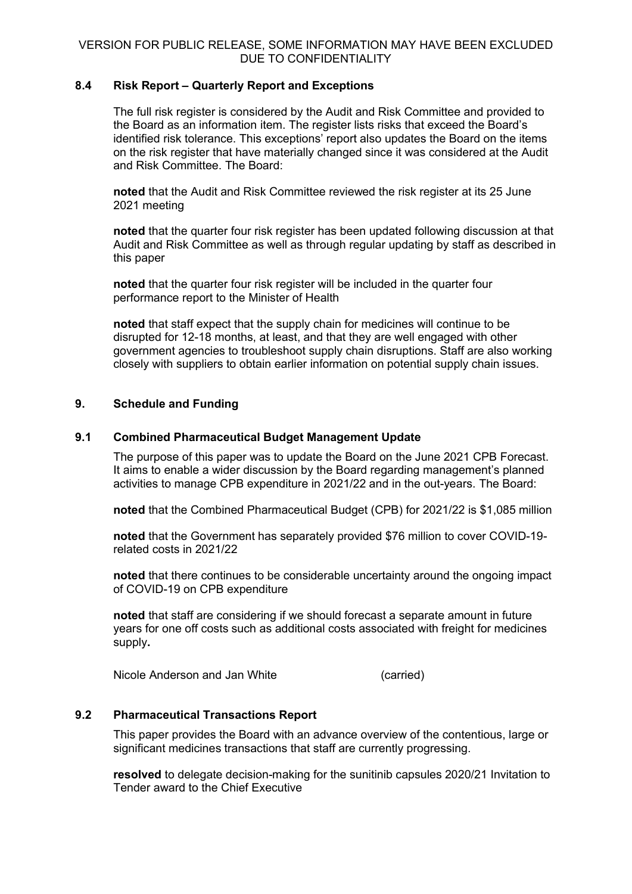# **8.4 Risk Report – Quarterly Report and Exceptions**

The full risk register is considered by the Audit and Risk Committee and provided to the Board as an information item. The register lists risks that exceed the Board's identified risk tolerance. This exceptions' report also updates the Board on the items on the risk register that have materially changed since it was considered at the Audit and Risk Committee. The Board:

**noted** that the Audit and Risk Committee reviewed the risk register at its 25 June 2021 meeting

**noted** that the quarter four risk register has been updated following discussion at that Audit and Risk Committee as well as through regular updating by staff as described in this paper

**noted** that the quarter four risk register will be included in the quarter four performance report to the Minister of Health

**noted** that staff expect that the supply chain for medicines will continue to be disrupted for 12-18 months, at least, and that they are well engaged with other government agencies to troubleshoot supply chain disruptions. Staff are also working closely with suppliers to obtain earlier information on potential supply chain issues.

# **9. Schedule and Funding**

# **9.1 Combined Pharmaceutical Budget Management Update**

The purpose of this paper was to update the Board on the June 2021 CPB Forecast. It aims to enable a wider discussion by the Board regarding management's planned activities to manage CPB expenditure in 2021/22 and in the out-years. The Board:

**noted** that the Combined Pharmaceutical Budget (CPB) for 2021/22 is \$1,085 million

**noted** that the Government has separately provided \$76 million to cover COVID-19 related costs in 2021/22

**noted** that there continues to be considerable uncertainty around the ongoing impact of COVID-19 on CPB expenditure

**noted** that staff are considering if we should forecast a separate amount in future years for one off costs such as additional costs associated with freight for medicines supply**.**

Nicole Anderson and Jan White (carried)

# **9.2 Pharmaceutical Transactions Report**

This paper provides the Board with an advance overview of the contentious, large or significant medicines transactions that staff are currently progressing.

**resolved** to delegate decision-making for the sunitinib capsules 2020/21 Invitation to Tender award to the Chief Executive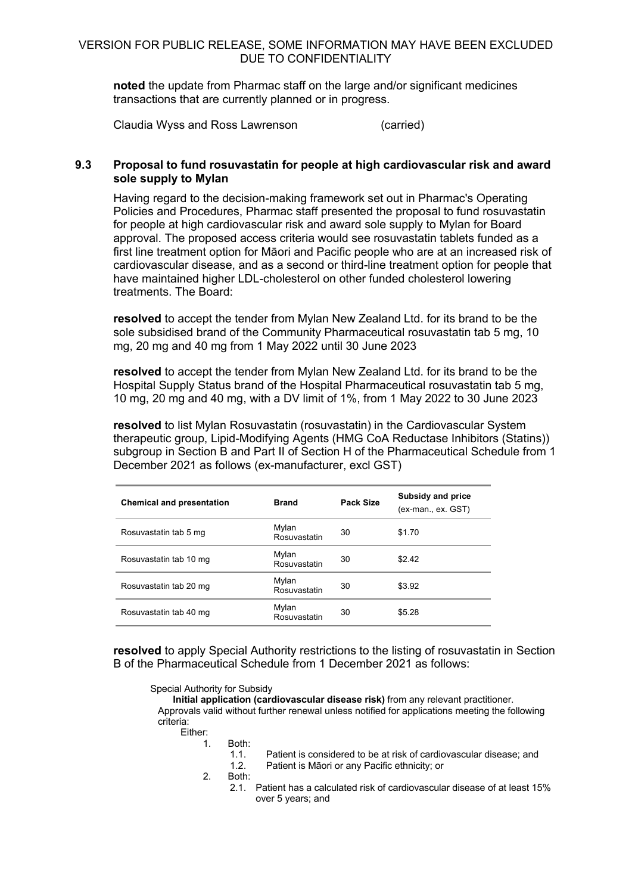**noted** the update from Pharmac staff on the large and/or significant medicines transactions that are currently planned or in progress.

Claudia Wyss and Ross Lawrenson (carried)

# **9.3 Proposal to fund rosuvastatin for people at high cardiovascular risk and award sole supply to Mylan**

Having regard to the decision-making framework set out in Pharmac's Operating Policies and Procedures, Pharmac staff presented the proposal to fund rosuvastatin for people at high cardiovascular risk and award sole supply to Mylan for Board approval. The proposed access criteria would see rosuvastatin tablets funded as a first line treatment option for Māori and Pacific people who are at an increased risk of cardiovascular disease, and as a second or third-line treatment option for people that have maintained higher LDL-cholesterol on other funded cholesterol lowering treatments. The Board:

**resolved** to accept the tender from Mylan New Zealand Ltd. for its brand to be the sole subsidised brand of the Community Pharmaceutical rosuvastatin tab 5 mg, 10 mg, 20 mg and 40 mg from 1 May 2022 until 30 June 2023

**resolved** to accept the tender from Mylan New Zealand Ltd. for its brand to be the Hospital Supply Status brand of the Hospital Pharmaceutical rosuvastatin tab 5 mg, 10 mg, 20 mg and 40 mg, with a DV limit of 1%, from 1 May 2022 to 30 June 2023

**resolved** to list Mylan Rosuvastatin (rosuvastatin) in the Cardiovascular System therapeutic group, Lipid-Modifying Agents (HMG CoA Reductase Inhibitors (Statins)) subgroup in Section B and Part II of Section H of the Pharmaceutical Schedule from 1 December 2021 as follows (ex-manufacturer, excl GST)

| <b>Chemical and presentation</b> | <b>Brand</b>          | Pack Size | Subsidy and price<br>(ex-man., ex. GST) |
|----------------------------------|-----------------------|-----------|-----------------------------------------|
| Rosuvastatin tab 5 mg            | Mylan<br>Rosuvastatin | 30        | \$1.70                                  |
| Rosuvastatin tab 10 mg           | Mylan<br>Rosuvastatin | 30        | \$2.42                                  |
| Rosuvastatin tab 20 mg           | Mylan<br>Rosuvastatin | 30        | \$3.92                                  |
| Rosuvastatin tab 40 mg           | Mylan<br>Rosuvastatin | 30        | \$5.28                                  |

**resolved** to apply Special Authority restrictions to the listing of rosuvastatin in Section B of the Pharmaceutical Schedule from 1 December 2021 as follows:

#### Special Authority for Subsidy

**Initial application (cardiovascular disease risk)** from any relevant practitioner. Approvals valid without further renewal unless notified for applications meeting the following criteria:

```
Either:
```

$$
1. \hspace{20pt} \text{Both:}
$$

- 1.1. Patient is considered to be at risk of cardiovascular disease; and 1.2. Patient is Māori or any Pacific ethnicity; or
- 2. Both:
	- 2.1. Patient has a calculated risk of cardiovascular disease of at least 15% over 5 years; and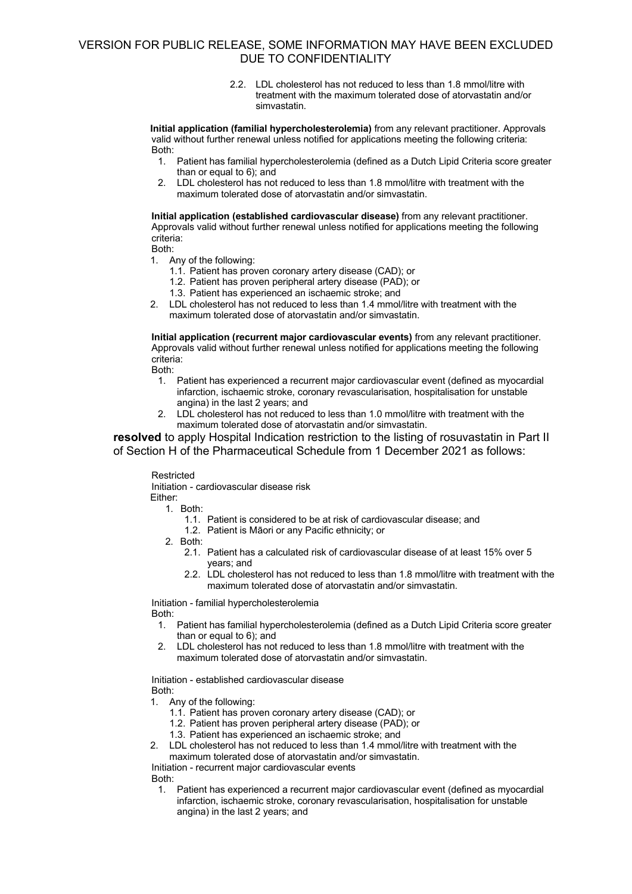2.2. LDL cholesterol has not reduced to less than 1.8 mmol/litre with treatment with the maximum tolerated dose of atorvastatin and/or simvastatin.

**Initial application (familial hypercholesterolemia)** from any relevant practitioner. Approvals valid without further renewal unless notified for applications meeting the following criteria: Both:

- 1. Patient has familial hypercholesterolemia (defined as a Dutch Lipid Criteria score greater than or equal to 6); and
- 2. LDL cholesterol has not reduced to less than 1.8 mmol/litre with treatment with the maximum tolerated dose of atorvastatin and/or simvastatin.

**Initial application (established cardiovascular disease)** from any relevant practitioner. Approvals valid without further renewal unless notified for applications meeting the following criteria:

Both:

- 1. Any of the following:
	- 1.1. Patient has proven coronary artery disease (CAD); or
	- 1.2. Patient has proven peripheral artery disease (PAD); or
	- 1.3. Patient has experienced an ischaemic stroke; and
- 2. LDL cholesterol has not reduced to less than 1.4 mmol/litre with treatment with the maximum tolerated dose of atorvastatin and/or simvastatin.

**Initial application (recurrent major cardiovascular events)** from any relevant practitioner. Approvals valid without further renewal unless notified for applications meeting the following criteria:

Both:

- 1. Patient has experienced a recurrent major cardiovascular event (defined as myocardial infarction, ischaemic stroke, coronary revascularisation, hospitalisation for unstable angina) in the last 2 years; and
- 2. LDL cholesterol has not reduced to less than 1.0 mmol/litre with treatment with the maximum tolerated dose of atorvastatin and/or simvastatin.

**resolved** to apply Hospital Indication restriction to the listing of rosuvastatin in Part II of Section H of the Pharmaceutical Schedule from 1 December 2021 as follows:

#### Restricted

Initiation - cardiovascular disease risk Either:

1. Both:

- 1.1. Patient is considered to be at risk of cardiovascular disease; and
- 1.2. Patient is Māori or any Pacific ethnicity; or
- 2. Both:
	- 2.1. Patient has a calculated risk of cardiovascular disease of at least 15% over 5 years; and
	- 2.2. LDL cholesterol has not reduced to less than 1.8 mmol/litre with treatment with the maximum tolerated dose of atorvastatin and/or simvastatin.

Initiation - familial hypercholesterolemia Both:

- 1. Patient has familial hypercholesterolemia (defined as a Dutch Lipid Criteria score greater than or equal to 6); and
- 2. LDL cholesterol has not reduced to less than 1.8 mmol/litre with treatment with the maximum tolerated dose of atorvastatin and/or simvastatin.

Initiation - established cardiovascular disease Both:

- 1. Any of the following:
	- 1.1. Patient has proven coronary artery disease (CAD); or
	- 1.2. Patient has proven peripheral artery disease (PAD); or
	- 1.3. Patient has experienced an ischaemic stroke; and
- 2. LDL cholesterol has not reduced to less than 1.4 mmol/litre with treatment with the maximum tolerated dose of atorvastatin and/or simvastatin.

Initiation - recurrent major cardiovascular events Both:

1. Patient has experienced a recurrent major cardiovascular event (defined as myocardial infarction, ischaemic stroke, coronary revascularisation, hospitalisation for unstable angina) in the last 2 years; and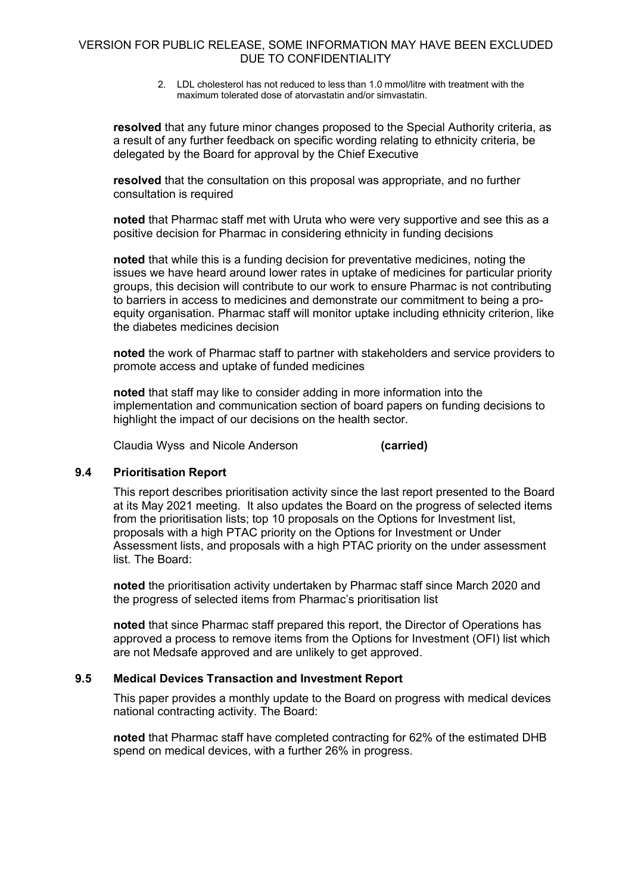2. LDL cholesterol has not reduced to less than 1.0 mmol/litre with treatment with the maximum tolerated dose of atorvastatin and/or simvastatin.

**resolved** that any future minor changes proposed to the Special Authority criteria, as a result of any further feedback on specific wording relating to ethnicity criteria, be delegated by the Board for approval by the Chief Executive

**resolved** that the consultation on this proposal was appropriate, and no further consultation is required

**noted** that Pharmac staff met with Uruta who were very supportive and see this as a positive decision for Pharmac in considering ethnicity in funding decisions

**noted** that while this is a funding decision for preventative medicines, noting the issues we have heard around lower rates in uptake of medicines for particular priority groups, this decision will contribute to our work to ensure Pharmac is not contributing to barriers in access to medicines and demonstrate our commitment to being a proequity organisation. Pharmac staff will monitor uptake including ethnicity criterion, like the diabetes medicines decision

**noted** the work of Pharmac staff to partner with stakeholders and service providers to promote access and uptake of funded medicines

**noted** that staff may like to consider adding in more information into the implementation and communication section of board papers on funding decisions to highlight the impact of our decisions on the health sector.

Claudia Wyss and Nicole Anderson **(carried)**

# **9.4 Prioritisation Report**

This report describes prioritisation activity since the last report presented to the Board at its May 2021 meeting. It also updates the Board on the progress of selected items from the prioritisation lists; top 10 proposals on the Options for Investment list, proposals with a high PTAC priority on the Options for Investment or Under Assessment lists, and proposals with a high PTAC priority on the under assessment list. The Board:

**noted** the prioritisation activity undertaken by Pharmac staff since March 2020 and the progress of selected items from Pharmac's prioritisation list

**noted** that since Pharmac staff prepared this report, the Director of Operations has approved a process to remove items from the Options for Investment (OFI) list which are not Medsafe approved and are unlikely to get approved.

#### **9.5 Medical Devices Transaction and Investment Report**

This paper provides a monthly update to the Board on progress with medical devices national contracting activity. The Board:

**noted** that Pharmac staff have completed contracting for 62% of the estimated DHB spend on medical devices, with a further 26% in progress.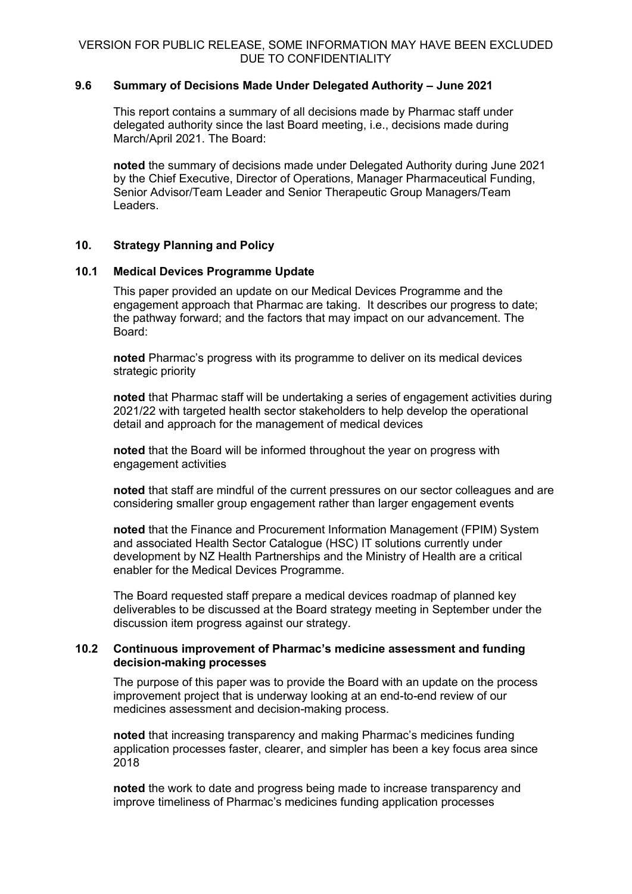# **9.6 Summary of Decisions Made Under Delegated Authority – June 2021**

This report contains a summary of all decisions made by Pharmac staff under delegated authority since the last Board meeting, i.e., decisions made during March/April 2021. The Board:

**noted** the summary of decisions made under Delegated Authority during June 2021 by the Chief Executive, Director of Operations, Manager Pharmaceutical Funding, Senior Advisor/Team Leader and Senior Therapeutic Group Managers/Team Leaders.

# **10. Strategy Planning and Policy**

#### **10.1 Medical Devices Programme Update**

This paper provided an update on our Medical Devices Programme and the engagement approach that Pharmac are taking. It describes our progress to date; the pathway forward; and the factors that may impact on our advancement. The Board:

**noted** Pharmac's progress with its programme to deliver on its medical devices strategic priority

**noted** that Pharmac staff will be undertaking a series of engagement activities during 2021/22 with targeted health sector stakeholders to help develop the operational detail and approach for the management of medical devices

**noted** that the Board will be informed throughout the year on progress with engagement activities

**noted** that staff are mindful of the current pressures on our sector colleagues and are considering smaller group engagement rather than larger engagement events

**noted** that the Finance and Procurement Information Management (FPIM) System and associated Health Sector Catalogue (HSC) IT solutions currently under development by NZ Health Partnerships and the Ministry of Health are a critical enabler for the Medical Devices Programme.

The Board requested staff prepare a medical devices roadmap of planned key deliverables to be discussed at the Board strategy meeting in September under the discussion item progress against our strategy.

# **10.2 Continuous improvement of Pharmac's medicine assessment and funding decision-making processes**

The purpose of this paper was to provide the Board with an update on the process improvement project that is underway looking at an end-to-end review of our medicines assessment and decision-making process.

**noted** that increasing transparency and making Pharmac's medicines funding application processes faster, clearer, and simpler has been a key focus area since 2018

**noted** the work to date and progress being made to increase transparency and improve timeliness of Pharmac's medicines funding application processes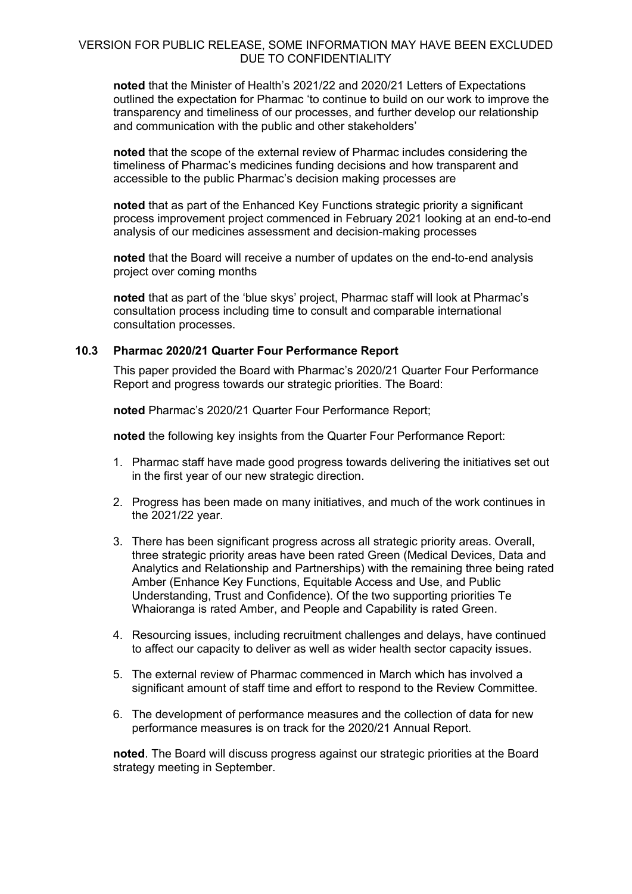**noted** that the Minister of Health's 2021/22 and 2020/21 Letters of Expectations outlined the expectation for Pharmac 'to continue to build on our work to improve the transparency and timeliness of our processes, and further develop our relationship and communication with the public and other stakeholders'

**noted** that the scope of the external review of Pharmac includes considering the timeliness of Pharmac's medicines funding decisions and how transparent and accessible to the public Pharmac's decision making processes are

**noted** that as part of the Enhanced Key Functions strategic priority a significant process improvement project commenced in February 2021 looking at an end-to-end analysis of our medicines assessment and decision-making processes

**noted** that the Board will receive a number of updates on the end-to-end analysis project over coming months

**noted** that as part of the 'blue skys' project, Pharmac staff will look at Pharmac's consultation process including time to consult and comparable international consultation processes.

# **10.3 Pharmac 2020/21 Quarter Four Performance Report**

This paper provided the Board with Pharmac's 2020/21 Quarter Four Performance Report and progress towards our strategic priorities. The Board:

**noted** Pharmac's 2020/21 Quarter Four Performance Report;

**noted** the following key insights from the Quarter Four Performance Report:

- 1. Pharmac staff have made good progress towards delivering the initiatives set out in the first year of our new strategic direction.
- 2. Progress has been made on many initiatives, and much of the work continues in the 2021/22 year.
- 3. There has been significant progress across all strategic priority areas. Overall, three strategic priority areas have been rated Green (Medical Devices, Data and Analytics and Relationship and Partnerships) with the remaining three being rated Amber (Enhance Key Functions, Equitable Access and Use, and Public Understanding, Trust and Confidence). Of the two supporting priorities Te Whaioranga is rated Amber, and People and Capability is rated Green.
- 4. Resourcing issues, including recruitment challenges and delays, have continued to affect our capacity to deliver as well as wider health sector capacity issues.
- 5. The external review of Pharmac commenced in March which has involved a significant amount of staff time and effort to respond to the Review Committee.
- 6. The development of performance measures and the collection of data for new performance measures is on track for the 2020/21 Annual Report.

**noted**. The Board will discuss progress against our strategic priorities at the Board strategy meeting in September.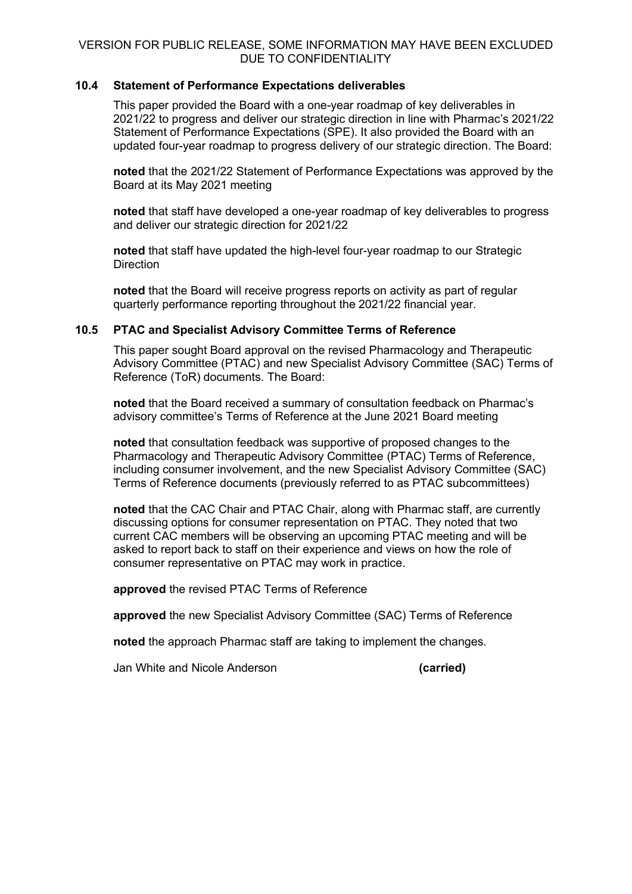### **10.4 Statement of Performance Expectations deliverables**

This paper provided the Board with a one-year roadmap of key deliverables in 2021/22 to progress and deliver our strategic direction in line with Pharmac's 2021/22 Statement of Performance Expectations (SPE). It also provided the Board with an updated four-year roadmap to progress delivery of our strategic direction. The Board:

**noted** that the 2021/22 Statement of Performance Expectations was approved by the Board at its May 2021 meeting

**noted** that staff have developed a one-year roadmap of key deliverables to progress and deliver our strategic direction for 2021/22

**noted** that staff have updated the high-level four-year roadmap to our Strategic **Direction** 

**noted** that the Board will receive progress reports on activity as part of regular quarterly performance reporting throughout the 2021/22 financial year.

#### **10.5 PTAC and Specialist Advisory Committee Terms of Reference**

This paper sought Board approval on the revised Pharmacology and Therapeutic Advisory Committee (PTAC) and new Specialist Advisory Committee (SAC) Terms of Reference (ToR) documents. The Board:

**noted** that the Board received a summary of consultation feedback on Pharmac's advisory committee's Terms of Reference at the June 2021 Board meeting

**noted** that consultation feedback was supportive of proposed changes to the Pharmacology and Therapeutic Advisory Committee (PTAC) Terms of Reference, including consumer involvement, and the new Specialist Advisory Committee (SAC) Terms of Reference documents (previously referred to as PTAC subcommittees)

**noted** that the CAC Chair and PTAC Chair, along with Pharmac staff, are currently discussing options for consumer representation on PTAC. They noted that two current CAC members will be observing an upcoming PTAC meeting and will be asked to report back to staff on their experience and views on how the role of consumer representative on PTAC may work in practice.

**approved** the revised PTAC Terms of Reference

**approved** the new Specialist Advisory Committee (SAC) Terms of Reference

**noted** the approach Pharmac staff are taking to implement the changes.

Jan White and Nicole Anderson **(carried)**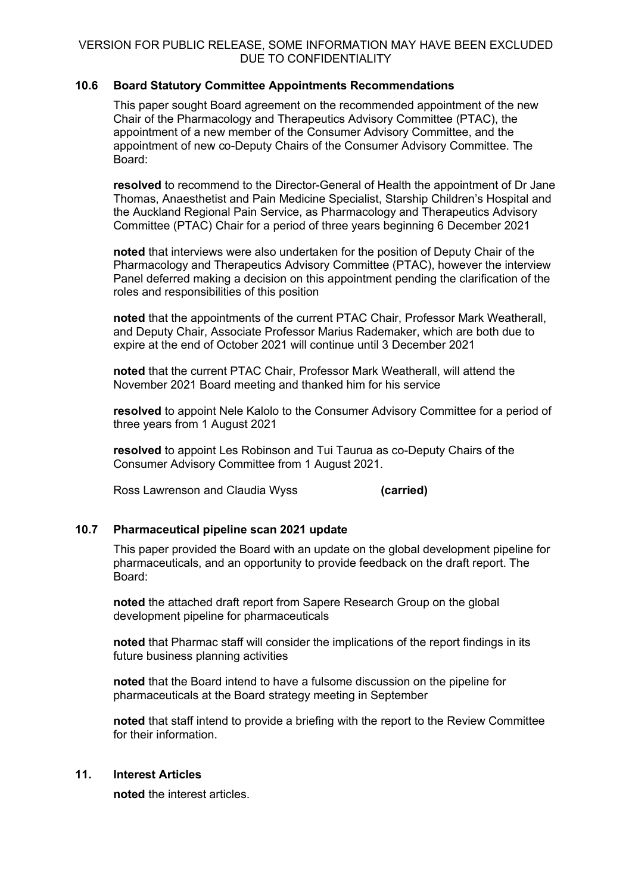# **10.6 Board Statutory Committee Appointments Recommendations**

This paper sought Board agreement on the recommended appointment of the new Chair of the Pharmacology and Therapeutics Advisory Committee (PTAC), the appointment of a new member of the Consumer Advisory Committee, and the appointment of new co-Deputy Chairs of the Consumer Advisory Committee. The Board:

**resolved** to recommend to the Director-General of Health the appointment of Dr Jane Thomas, Anaesthetist and Pain Medicine Specialist, Starship Children's Hospital and the Auckland Regional Pain Service, as Pharmacology and Therapeutics Advisory Committee (PTAC) Chair for a period of three years beginning 6 December 2021

**noted** that interviews were also undertaken for the position of Deputy Chair of the Pharmacology and Therapeutics Advisory Committee (PTAC), however the interview Panel deferred making a decision on this appointment pending the clarification of the roles and responsibilities of this position

**noted** that the appointments of the current PTAC Chair, Professor Mark Weatherall, and Deputy Chair, Associate Professor Marius Rademaker, which are both due to expire at the end of October 2021 will continue until 3 December 2021

**noted** that the current PTAC Chair, Professor Mark Weatherall, will attend the November 2021 Board meeting and thanked him for his service

**resolved** to appoint Nele Kalolo to the Consumer Advisory Committee for a period of three years from 1 August 2021

**resolved** to appoint Les Robinson and Tui Taurua as co-Deputy Chairs of the Consumer Advisory Committee from 1 August 2021.

Ross Lawrenson and Claudia Wyss **(carried)**

# **10.7 Pharmaceutical pipeline scan 2021 update**

This paper provided the Board with an update on the global development pipeline for pharmaceuticals, and an opportunity to provide feedback on the draft report. The Board:

**noted** the attached draft report from Sapere Research Group on the global development pipeline for pharmaceuticals

**noted** that Pharmac staff will consider the implications of the report findings in its future business planning activities

**noted** that the Board intend to have a fulsome discussion on the pipeline for pharmaceuticals at the Board strategy meeting in September

**noted** that staff intend to provide a briefing with the report to the Review Committee for their information.

# **11. Interest Articles**

**noted** the interest articles.